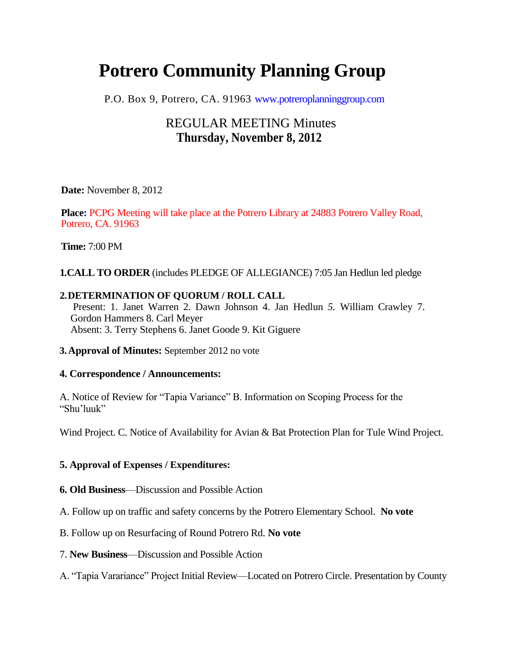# **Potrero Community Planning Group**

P.O. Box 9, Potrero, CA. 91963 www.potreroplanninggroup.com

## REGULAR MEETING Minutes **Thursday, November 8, 2012**

**Date:** November 8, 2012

**Place:** PCPG Meeting will take place at the Potrero Library at 24883 Potrero Valley Road, Potrero, CA. 91963

**Time:** 7:00 PM

**1.CALL TO ORDER** (includes PLEDGE OF ALLEGIANCE) 7:05 Jan Hedlun led pledge

### **2.DETERMINATION OF QUORUM / ROLL CALL**

Present: 1. Janet Warren 2. Dawn Johnson 4. Jan Hedlun *5.* William Crawley 7. Gordon Hammers 8. Carl Meyer Absent: 3. Terry Stephens 6. Janet Goode 9. Kit Giguere

**3.Approval of Minutes:** September 2012 no vote

### **4. Correspondence / Announcements:**

A. Notice of Review for "Tapia Variance" B. Information on Scoping Process for the "Shu'luuk"

Wind Project. C. Notice of Availability for Avian & Bat Protection Plan for Tule Wind Project.

### **5. Approval of Expenses / Expenditures:**

**6. Old Business**—Discussion and Possible Action

A. Follow up on traffic and safety concerns by the Potrero Elementary School. **No vote**

B. Follow up on Resurfacing of Round Potrero Rd. **No vote**

7. **New Business**—Discussion and Possible Action

A. "Tapia Varariance" Project Initial Review—Located on Potrero Circle. Presentation by County